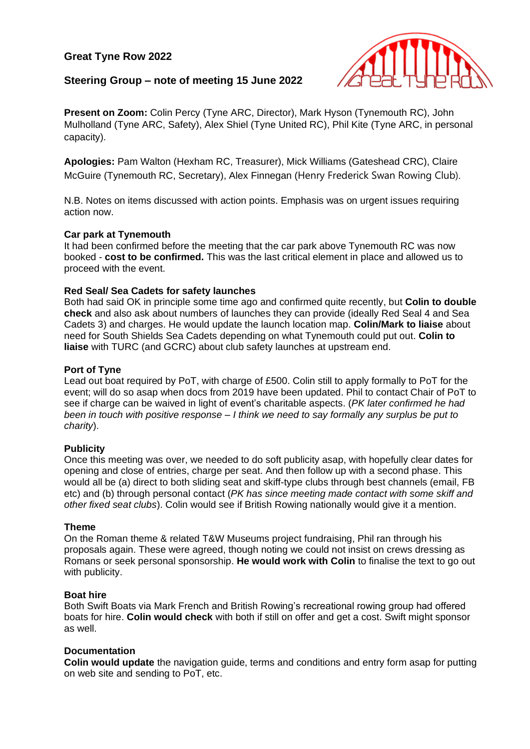# **Great Tyne Row 2022**



# **Steering Group – note of meeting 15 June 2022**

**Present on Zoom:** Colin Percy (Tyne ARC, Director), Mark Hyson (Tynemouth RC), John Mulholland (Tyne ARC, Safety), Alex Shiel (Tyne United RC), Phil Kite (Tyne ARC, in personal capacity).

**Apologies:** Pam Walton (Hexham RC, Treasurer), Mick Williams (Gateshead CRC), Claire McGuire (Tynemouth RC, Secretary), Alex Finnegan (Henry Frederick Swan Rowing Club).

N.B. Notes on items discussed with action points. Emphasis was on urgent issues requiring action now.

# **Car park at Tynemouth**

It had been confirmed before the meeting that the car park above Tynemouth RC was now booked - **cost to be confirmed.** This was the last critical element in place and allowed us to proceed with the event.

# **Red Seal/ Sea Cadets for safety launches**

Both had said OK in principle some time ago and confirmed quite recently, but **Colin to double check** and also ask about numbers of launches they can provide (ideally Red Seal 4 and Sea Cadets 3) and charges. He would update the launch location map. **Colin/Mark to liaise** about need for South Shields Sea Cadets depending on what Tynemouth could put out. **Colin to liaise** with TURC (and GCRC) about club safety launches at upstream end.

# **Port of Tyne**

Lead out boat required by PoT, with charge of £500. Colin still to apply formally to PoT for the event; will do so asap when docs from 2019 have been updated. Phil to contact Chair of PoT to see if charge can be waived in light of event's charitable aspects. (*PK later confirmed he had been in touch with positive response – I think we need to say formally any surplus be put to charity*).

### **Publicity**

Once this meeting was over, we needed to do soft publicity asap, with hopefully clear dates for opening and close of entries, charge per seat. And then follow up with a second phase. This would all be (a) direct to both sliding seat and skiff-type clubs through best channels (email, FB etc) and (b) through personal contact (*PK has since meeting made contact with some skiff and other fixed seat clubs*). Colin would see if British Rowing nationally would give it a mention.

### **Theme**

On the Roman theme & related T&W Museums project fundraising, Phil ran through his proposals again. These were agreed, though noting we could not insist on crews dressing as Romans or seek personal sponsorship. **He would work with Colin** to finalise the text to go out with publicity.

### **Boat hire**

Both Swift Boats via Mark French and British Rowing's recreational rowing group had offered boats for hire. **Colin would check** with both if still on offer and get a cost. Swift might sponsor as well.

# **Documentation**

**Colin would update** the navigation guide, terms and conditions and entry form asap for putting on web site and sending to PoT, etc.